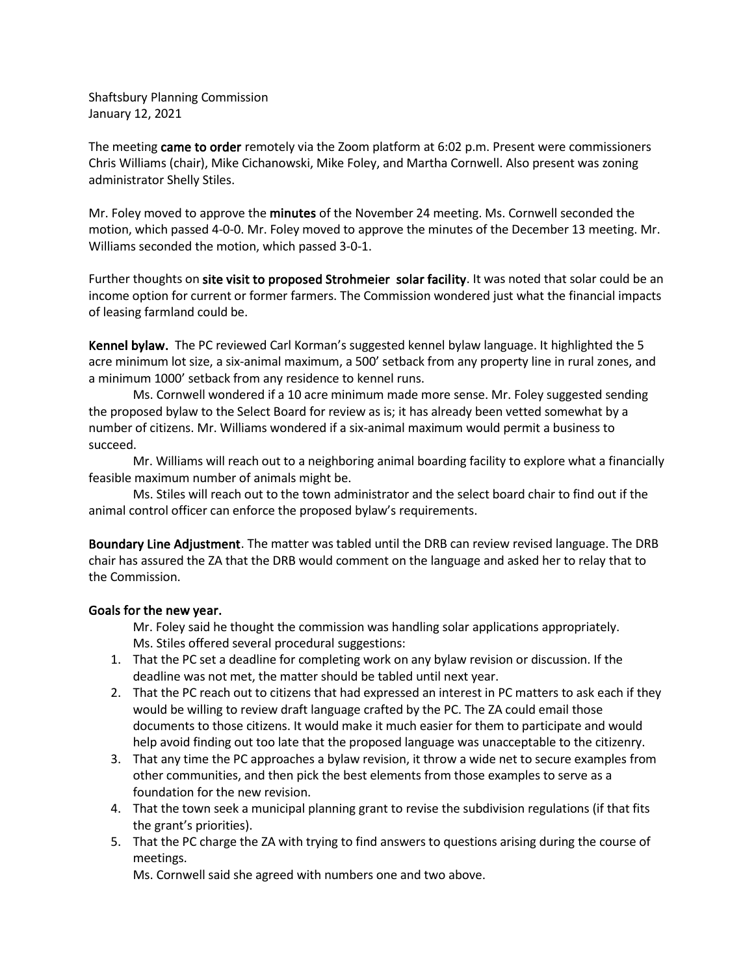Shaftsbury Planning Commission January 12, 2021

The meeting came to order remotely via the Zoom platform at 6:02 p.m. Present were commissioners Chris Williams (chair), Mike Cichanowski, Mike Foley, and Martha Cornwell. Also present was zoning administrator Shelly Stiles.

Mr. Foley moved to approve the minutes of the November 24 meeting. Ms. Cornwell seconded the motion, which passed 4-0-0. Mr. Foley moved to approve the minutes of the December 13 meeting. Mr. Williams seconded the motion, which passed 3-0-1.

Further thoughts on site visit to proposed Strohmeier solar facility. It was noted that solar could be an income option for current or former farmers. The Commission wondered just what the financial impacts of leasing farmland could be.

Kennel bylaw. The PC reviewed Carl Korman's suggested kennel bylaw language. It highlighted the 5 acre minimum lot size, a six-animal maximum, a 500' setback from any property line in rural zones, and a minimum 1000' setback from any residence to kennel runs.

Ms. Cornwell wondered if a 10 acre minimum made more sense. Mr. Foley suggested sending the proposed bylaw to the Select Board for review as is; it has already been vetted somewhat by a number of citizens. Mr. Williams wondered if a six-animal maximum would permit a business to succeed.

Mr. Williams will reach out to a neighboring animal boarding facility to explore what a financially feasible maximum number of animals might be.

Ms. Stiles will reach out to the town administrator and the select board chair to find out if the animal control officer can enforce the proposed bylaw's requirements.

Boundary Line Adjustment. The matter was tabled until the DRB can review revised language. The DRB chair has assured the ZA that the DRB would comment on the language and asked her to relay that to the Commission.

## Goals for the new year.

Mr. Foley said he thought the commission was handling solar applications appropriately. Ms. Stiles offered several procedural suggestions:

- 1. That the PC set a deadline for completing work on any bylaw revision or discussion. If the deadline was not met, the matter should be tabled until next year.
- 2. That the PC reach out to citizens that had expressed an interest in PC matters to ask each if they would be willing to review draft language crafted by the PC. The ZA could email those documents to those citizens. It would make it much easier for them to participate and would help avoid finding out too late that the proposed language was unacceptable to the citizenry.
- 3. That any time the PC approaches a bylaw revision, it throw a wide net to secure examples from other communities, and then pick the best elements from those examples to serve as a foundation for the new revision.
- 4. That the town seek a municipal planning grant to revise the subdivision regulations (if that fits the grant's priorities).
- 5. That the PC charge the ZA with trying to find answers to questions arising during the course of meetings.

Ms. Cornwell said she agreed with numbers one and two above.